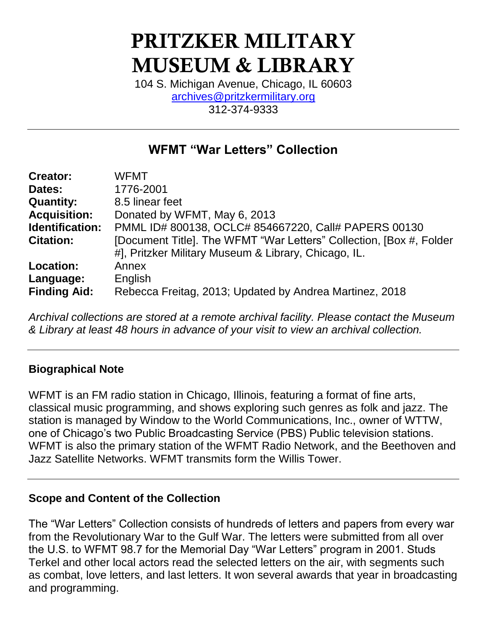# PRITZKER MILITARY MUSEUM & LIBRARY

104 S. Michigan Avenue, Chicago, IL 60603 [archives@pritzkermilitary.org](mailto:archives@pritzkermilitary.org) 312-374-9333

# **WFMT "War Letters" Collection**

| <b>Creator:</b>               | <b>WFMT</b>                                                                                                                 |
|-------------------------------|-----------------------------------------------------------------------------------------------------------------------------|
| Dates:                        | 1776-2001                                                                                                                   |
| <b>Quantity:</b>              | 8.5 linear feet                                                                                                             |
| <b>Acquisition:</b>           | Donated by WFMT, May 6, 2013                                                                                                |
| Identification:               | PMML ID# 800138, OCLC# 854667220, Call# PAPERS 00130                                                                        |
| <b>Citation:</b>              | [Document Title]. The WFMT "War Letters" Collection, [Box #, Folder<br>#], Pritzker Military Museum & Library, Chicago, IL. |
| <b>Location:</b><br>Language: | Annex<br>English                                                                                                            |
| <b>Finding Aid:</b>           | Rebecca Freitag, 2013; Updated by Andrea Martinez, 2018                                                                     |

*Archival collections are stored at a remote archival facility. Please contact the Museum & Library at least 48 hours in advance of your visit to view an archival collection.*

# **Biographical Note**

WFMT is an FM radio station in Chicago, Illinois, featuring a format of fine arts, classical music programming, and shows exploring such genres as folk and jazz. The station is managed by Window to the World Communications, Inc., owner of WTTW, one of Chicago's two Public Broadcasting Service (PBS) Public television stations. WFMT is also the primary station of the WFMT Radio Network, and the Beethoven and Jazz Satellite Networks. WFMT transmits form the Willis Tower.

#### **Scope and Content of the Collection**

The "War Letters" Collection consists of hundreds of letters and papers from every war from the Revolutionary War to the Gulf War. The letters were submitted from all over the U.S. to WFMT 98.7 for the Memorial Day "War Letters" program in 2001. Studs Terkel and other local actors read the selected letters on the air, with segments such as combat, love letters, and last letters. It won several awards that year in broadcasting and programming.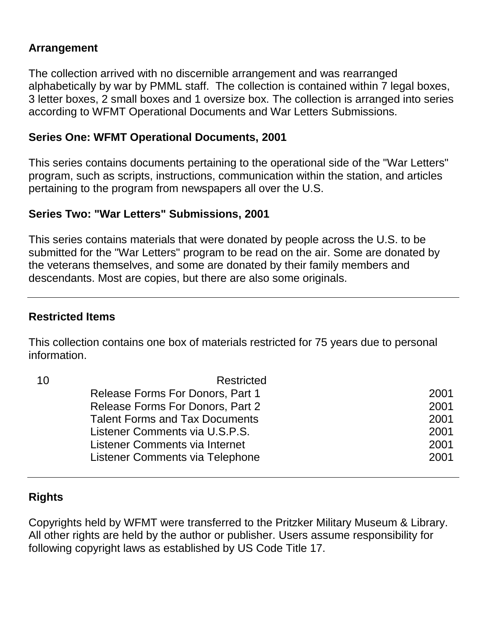### **Arrangement**

The collection arrived with no discernible arrangement and was rearranged alphabetically by war by PMML staff. The collection is contained within 7 legal boxes, 3 letter boxes, 2 small boxes and 1 oversize box. The collection is arranged into series according to WFMT Operational Documents and War Letters Submissions.

#### **Series One: WFMT Operational Documents, 2001**

This series contains documents pertaining to the operational side of the "War Letters" program, such as scripts, instructions, communication within the station, and articles pertaining to the program from newspapers all over the U.S.

#### **Series Two: "War Letters" Submissions, 2001**

This series contains materials that were donated by people across the U.S. to be submitted for the "War Letters" program to be read on the air. Some are donated by the veterans themselves, and some are donated by their family members and descendants. Most are copies, but there are also some originals.

#### **Restricted Items**

This collection contains one box of materials restricted for 75 years due to personal information.

| 10 | Restricted                              |      |
|----|-----------------------------------------|------|
|    | Release Forms For Donors, Part 1        | 2001 |
|    | <b>Release Forms For Donors, Part 2</b> | 2001 |
|    | <b>Talent Forms and Tax Documents</b>   | 2001 |
|    | Listener Comments via U.S.P.S.          | 2001 |
|    | Listener Comments via Internet          | 2001 |
|    | Listener Comments via Telephone         | 2001 |
|    |                                         |      |

# **Rights**

Copyrights held by WFMT were transferred to the Pritzker Military Museum & Library. All other rights are held by the author or publisher. Users assume responsibility for following copyright laws as established by US Code Title 17.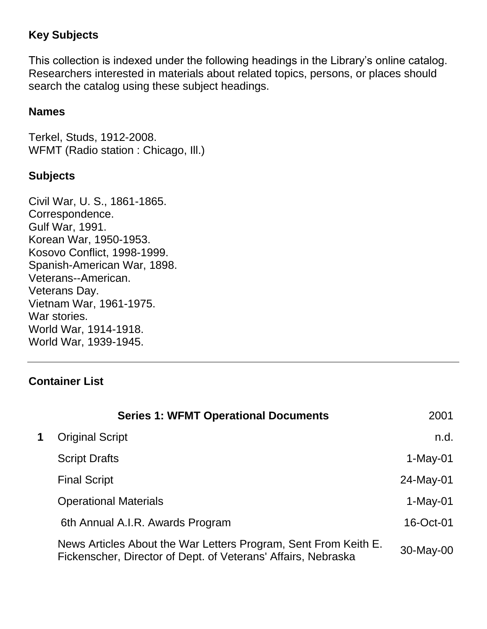# **Key Subjects**

This collection is indexed under the following headings in the Library's online catalog. Researchers interested in materials about related topics, persons, or places should search the catalog using these subject headings.

#### **Names**

Terkel, Studs, 1912-2008. WFMT (Radio station : Chicago, III.)

#### **Subjects**

Civil War, U. S., 1861-1865. Correspondence. Gulf War, 1991. Korean War, 1950-1953. Kosovo Conflict, 1998-1999. Spanish-American War, 1898. Veterans--American. Veterans Day. Vietnam War, 1961-1975. War stories. World War, 1914-1918. World War, 1939-1945.

# **Container List**

|   | <b>Series 1: WFMT Operational Documents</b>                                                                                      | 2001       |
|---|----------------------------------------------------------------------------------------------------------------------------------|------------|
| 1 | <b>Original Script</b>                                                                                                           | n.d.       |
|   | <b>Script Drafts</b>                                                                                                             | $1-May-01$ |
|   | <b>Final Script</b>                                                                                                              | 24-May-01  |
|   | <b>Operational Materials</b>                                                                                                     | $1-May-01$ |
|   | 6th Annual A.I.R. Awards Program                                                                                                 | 16-Oct-01  |
|   | News Articles About the War Letters Program, Sent From Keith E.<br>Fickenscher, Director of Dept. of Veterans' Affairs, Nebraska | 30-May-00  |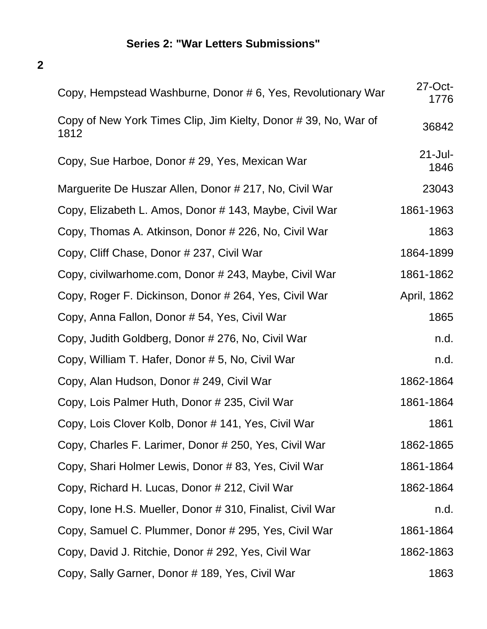# **Series 2: "War Letters Submissions"**

**2**

| Copy, Hempstead Washburne, Donor # 6, Yes, Revolutionary War           | $27$ -Oct-<br>1776 |
|------------------------------------------------------------------------|--------------------|
| Copy of New York Times Clip, Jim Kielty, Donor #39, No, War of<br>1812 | 36842              |
| Copy, Sue Harboe, Donor # 29, Yes, Mexican War                         | $21$ -Jul-<br>1846 |
| Marguerite De Huszar Allen, Donor # 217, No, Civil War                 | 23043              |
| Copy, Elizabeth L. Amos, Donor # 143, Maybe, Civil War                 | 1861-1963          |
| Copy, Thomas A. Atkinson, Donor # 226, No, Civil War                   | 1863               |
| Copy, Cliff Chase, Donor # 237, Civil War                              | 1864-1899          |
| Copy, civilwarhome.com, Donor # 243, Maybe, Civil War                  | 1861-1862          |
| Copy, Roger F. Dickinson, Donor # 264, Yes, Civil War                  | April, 1862        |
| Copy, Anna Fallon, Donor # 54, Yes, Civil War                          | 1865               |
| Copy, Judith Goldberg, Donor # 276, No, Civil War                      | n.d.               |
| Copy, William T. Hafer, Donor # 5, No, Civil War                       | n.d.               |
| Copy, Alan Hudson, Donor # 249, Civil War                              | 1862-1864          |
| Copy, Lois Palmer Huth, Donor # 235, Civil War                         | 1861-1864          |
| Copy, Lois Clover Kolb, Donor # 141, Yes, Civil War                    | 1861               |
| Copy, Charles F. Larimer, Donor # 250, Yes, Civil War                  | 1862-1865          |
| Copy, Shari Holmer Lewis, Donor #83, Yes, Civil War                    | 1861-1864          |
| Copy, Richard H. Lucas, Donor # 212, Civil War                         | 1862-1864          |
| Copy, Ione H.S. Mueller, Donor # 310, Finalist, Civil War              | n.d.               |
| Copy, Samuel C. Plummer, Donor # 295, Yes, Civil War                   | 1861-1864          |
| Copy, David J. Ritchie, Donor # 292, Yes, Civil War                    | 1862-1863          |
| Copy, Sally Garner, Donor # 189, Yes, Civil War                        | 1863               |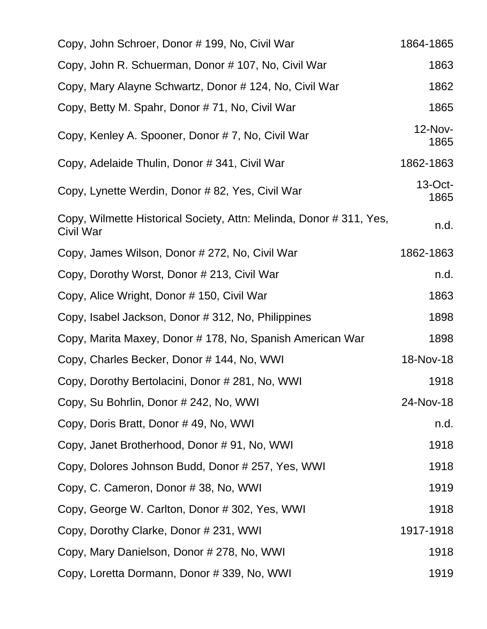| Copy, John Schroer, Donor # 199, No, Civil War                                   | 1864-1865          |
|----------------------------------------------------------------------------------|--------------------|
| Copy, John R. Schuerman, Donor # 107, No, Civil War                              | 1863               |
| Copy, Mary Alayne Schwartz, Donor # 124, No, Civil War                           | 1862               |
| Copy, Betty M. Spahr, Donor #71, No, Civil War                                   | 1865               |
| Copy, Kenley A. Spooner, Donor #7, No, Civil War                                 | 12-Nov-<br>1865    |
| Copy, Adelaide Thulin, Donor # 341, Civil War                                    | 1862-1863          |
| Copy, Lynette Werdin, Donor #82, Yes, Civil War                                  | $13$ -Oct-<br>1865 |
| Copy, Wilmette Historical Society, Attn: Melinda, Donor # 311, Yes,<br>Civil War | n.d.               |
| Copy, James Wilson, Donor # 272, No, Civil War                                   | 1862-1863          |
| Copy, Dorothy Worst, Donor # 213, Civil War                                      | n.d.               |
| Copy, Alice Wright, Donor # 150, Civil War                                       | 1863               |
| Copy, Isabel Jackson, Donor # 312, No, Philippines                               | 1898               |
| Copy, Marita Maxey, Donor # 178, No, Spanish American War                        | 1898               |
| Copy, Charles Becker, Donor # 144, No, WWI                                       | 18-Nov-18          |
| Copy, Dorothy Bertolacini, Donor # 281, No, WWI                                  | 1918               |
| Copy, Su Bohrlin, Donor # 242, No, WWI                                           | 24-Nov-18          |
| Copy, Doris Bratt, Donor #49, No, WWI                                            | n.d.               |
| Copy, Janet Brotherhood, Donor #91, No, WWI                                      | 1918               |
| Copy, Dolores Johnson Budd, Donor # 257, Yes, WWI                                | 1918               |
| Copy, C. Cameron, Donor #38, No, WWI                                             | 1919               |
| Copy, George W. Carlton, Donor # 302, Yes, WWI                                   | 1918               |
| Copy, Dorothy Clarke, Donor # 231, WWI                                           | 1917-1918          |
| Copy, Mary Danielson, Donor # 278, No, WWI                                       | 1918               |
| Copy, Loretta Dormann, Donor #339, No, WWI                                       | 1919               |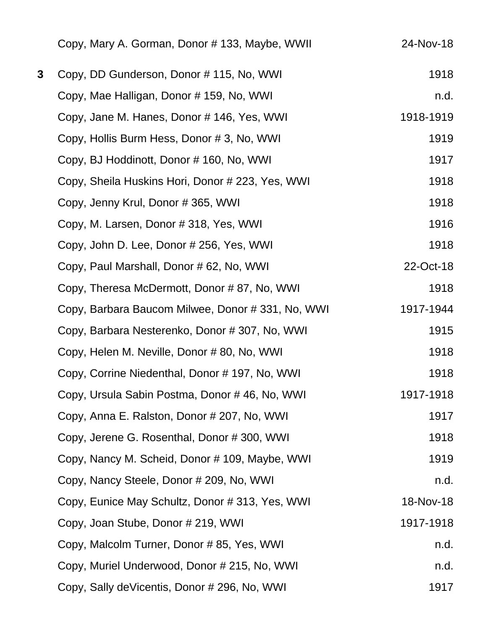|   | Copy, Mary A. Gorman, Donor #133, Maybe, WWII    | 24-Nov-18 |
|---|--------------------------------------------------|-----------|
| 3 | Copy, DD Gunderson, Donor #115, No, WWI          | 1918      |
|   | Copy, Mae Halligan, Donor # 159, No, WWI         | n.d.      |
|   | Copy, Jane M. Hanes, Donor # 146, Yes, WWI       | 1918-1919 |
|   | Copy, Hollis Burm Hess, Donor #3, No, WWI        | 1919      |
|   | Copy, BJ Hoddinott, Donor # 160, No, WWI         | 1917      |
|   | Copy, Sheila Huskins Hori, Donor # 223, Yes, WWI | 1918      |
|   | Copy, Jenny Krul, Donor # 365, WWI               | 1918      |
|   | Copy, M. Larsen, Donor #318, Yes, WWI            | 1916      |
|   | Copy, John D. Lee, Donor # 256, Yes, WWI         | 1918      |
|   | Copy, Paul Marshall, Donor # 62, No, WWI         | 22-Oct-18 |
|   | Copy, Theresa McDermott, Donor #87, No, WWI      | 1918      |
|   | Copy, Barbara Baucom Milwee, Donor #331, No, WWI | 1917-1944 |
|   | Copy, Barbara Nesterenko, Donor #307, No, WWI    | 1915      |
|   | Copy, Helen M. Neville, Donor #80, No, WWI       | 1918      |
|   | Copy, Corrine Niedenthal, Donor # 197, No, WWI   | 1918      |
|   | Copy, Ursula Sabin Postma, Donor #46, No, WWI    | 1917-1918 |
|   | Copy, Anna E. Ralston, Donor # 207, No, WWI      | 1917      |
|   | Copy, Jerene G. Rosenthal, Donor # 300, WWI      | 1918      |
|   | Copy, Nancy M. Scheid, Donor # 109, Maybe, WWI   | 1919      |
|   | Copy, Nancy Steele, Donor # 209, No, WWI         | n.d.      |
|   | Copy, Eunice May Schultz, Donor # 313, Yes, WWI  | 18-Nov-18 |
|   | Copy, Joan Stube, Donor # 219, WWI               | 1917-1918 |
|   | Copy, Malcolm Turner, Donor #85, Yes, WWI        | n.d.      |
|   | Copy, Muriel Underwood, Donor # 215, No, WWI     | n.d.      |
|   | Copy, Sally deVicentis, Donor # 296, No, WWI     | 1917      |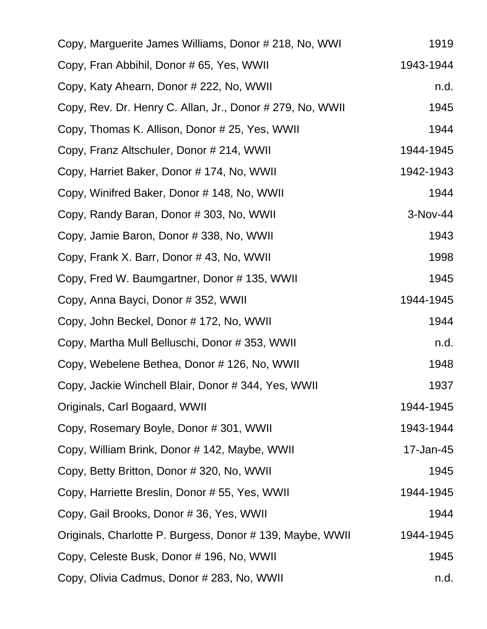| Copy, Marguerite James Williams, Donor # 218, No, WWI     | 1919      |
|-----------------------------------------------------------|-----------|
| Copy, Fran Abbihil, Donor # 65, Yes, WWII                 | 1943-1944 |
| Copy, Katy Ahearn, Donor # 222, No, WWII                  | n.d.      |
| Copy, Rev. Dr. Henry C. Allan, Jr., Donor # 279, No, WWII | 1945      |
| Copy, Thomas K. Allison, Donor # 25, Yes, WWII            | 1944      |
| Copy, Franz Altschuler, Donor # 214, WWII                 | 1944-1945 |
| Copy, Harriet Baker, Donor #174, No, WWII                 | 1942-1943 |
| Copy, Winifred Baker, Donor #148, No, WWII                | 1944      |
| Copy, Randy Baran, Donor # 303, No, WWII                  | 3-Nov-44  |
| Copy, Jamie Baron, Donor # 338, No, WWII                  | 1943      |
| Copy, Frank X. Barr, Donor #43, No, WWII                  | 1998      |
| Copy, Fred W. Baumgartner, Donor #135, WWII               | 1945      |
| Copy, Anna Bayci, Donor # 352, WWII                       | 1944-1945 |
| Copy, John Beckel, Donor # 172, No, WWII                  | 1944      |
| Copy, Martha Mull Belluschi, Donor #353, WWII             | n.d.      |
| Copy, Webelene Bethea, Donor # 126, No, WWII              | 1948      |
| Copy, Jackie Winchell Blair, Donor # 344, Yes, WWII       | 1937      |
| Originals, Carl Bogaard, WWII                             | 1944-1945 |
| Copy, Rosemary Boyle, Donor #301, WWII                    | 1943-1944 |
| Copy, William Brink, Donor # 142, Maybe, WWII             | 17-Jan-45 |
| Copy, Betty Britton, Donor # 320, No, WWII                | 1945      |
| Copy, Harriette Breslin, Donor # 55, Yes, WWII            | 1944-1945 |
| Copy, Gail Brooks, Donor # 36, Yes, WWII                  | 1944      |
| Originals, Charlotte P. Burgess, Donor # 139, Maybe, WWII | 1944-1945 |
| Copy, Celeste Busk, Donor # 196, No, WWII                 | 1945      |
| Copy, Olivia Cadmus, Donor # 283, No, WWII                | n.d.      |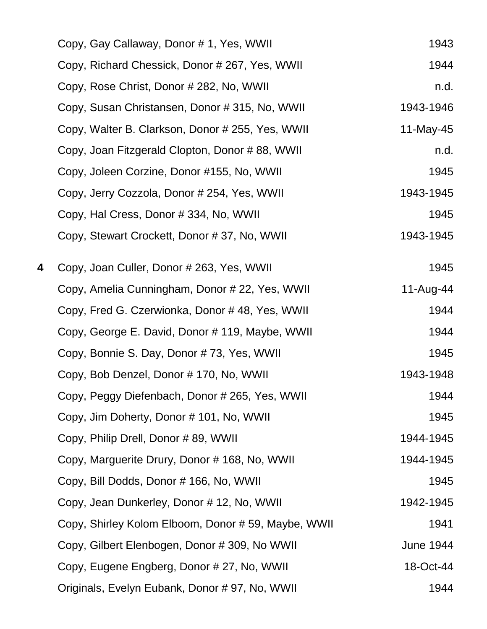|   | Copy, Gay Callaway, Donor # 1, Yes, WWII           | 1943             |
|---|----------------------------------------------------|------------------|
|   | Copy, Richard Chessick, Donor # 267, Yes, WWII     | 1944             |
|   | Copy, Rose Christ, Donor # 282, No, WWII           | n.d.             |
|   | Copy, Susan Christansen, Donor # 315, No, WWII     | 1943-1946        |
|   | Copy, Walter B. Clarkson, Donor # 255, Yes, WWII   | 11-May-45        |
|   | Copy, Joan Fitzgerald Clopton, Donor #88, WWII     | n.d.             |
|   | Copy, Joleen Corzine, Donor #155, No, WWII         | 1945             |
|   | Copy, Jerry Cozzola, Donor # 254, Yes, WWII        | 1943-1945        |
|   | Copy, Hal Cress, Donor #334, No, WWII              | 1945             |
|   | Copy, Stewart Crockett, Donor #37, No, WWII        | 1943-1945        |
| 4 | Copy, Joan Culler, Donor # 263, Yes, WWII          | 1945             |
|   | Copy, Amelia Cunningham, Donor # 22, Yes, WWII     | 11-Aug-44        |
|   | Copy, Fred G. Czerwionka, Donor #48, Yes, WWII     | 1944             |
|   | Copy, George E. David, Donor # 119, Maybe, WWII    | 1944             |
|   | Copy, Bonnie S. Day, Donor #73, Yes, WWII          | 1945             |
|   | Copy, Bob Denzel, Donor #170, No, WWII             | 1943-1948        |
|   | Copy, Peggy Diefenbach, Donor # 265, Yes, WWII     | 1944             |
|   | Copy, Jim Doherty, Donor # 101, No, WWII           | 1945             |
|   | Copy, Philip Drell, Donor # 89, WWII               | 1944-1945        |
|   | Copy, Marguerite Drury, Donor # 168, No, WWII      | 1944-1945        |
|   | Copy, Bill Dodds, Donor # 166, No, WWII            | 1945             |
|   | Copy, Jean Dunkerley, Donor # 12, No, WWII         | 1942-1945        |
|   | Copy, Shirley Kolom Elboom, Donor #59, Maybe, WWII | 1941             |
|   | Copy, Gilbert Elenbogen, Donor # 309, No WWII      | <b>June 1944</b> |
|   | Copy, Eugene Engberg, Donor # 27, No, WWII         | 18-Oct-44        |
|   | Originals, Evelyn Eubank, Donor # 97, No, WWII     | 1944             |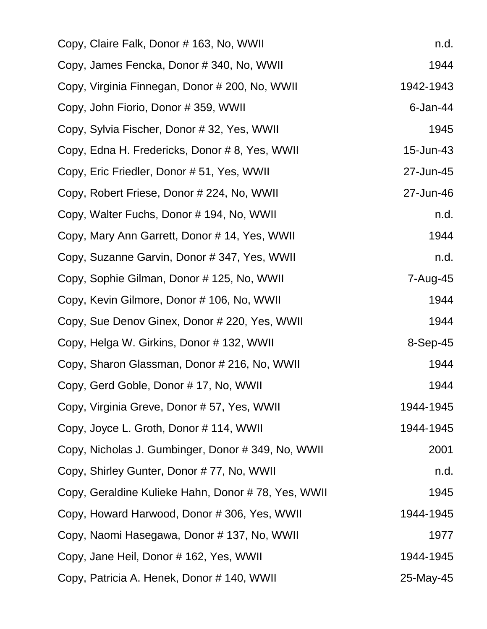| Copy, Claire Falk, Donor # 163, No, WWII           | n.d.      |
|----------------------------------------------------|-----------|
| Copy, James Fencka, Donor # 340, No, WWII          | 1944      |
| Copy, Virginia Finnegan, Donor # 200, No, WWII     | 1942-1943 |
| Copy, John Fiorio, Donor # 359, WWII               | 6-Jan-44  |
| Copy, Sylvia Fischer, Donor # 32, Yes, WWII        | 1945      |
| Copy, Edna H. Fredericks, Donor #8, Yes, WWII      | 15-Jun-43 |
| Copy, Eric Friedler, Donor # 51, Yes, WWII         | 27-Jun-45 |
| Copy, Robert Friese, Donor # 224, No, WWII         | 27-Jun-46 |
| Copy, Walter Fuchs, Donor # 194, No, WWII          | n.d.      |
| Copy, Mary Ann Garrett, Donor #14, Yes, WWII       | 1944      |
| Copy, Suzanne Garvin, Donor # 347, Yes, WWII       | n.d.      |
| Copy, Sophie Gilman, Donor #125, No, WWII          | 7-Aug-45  |
| Copy, Kevin Gilmore, Donor # 106, No, WWII         | 1944      |
| Copy, Sue Denov Ginex, Donor # 220, Yes, WWII      | 1944      |
| Copy, Helga W. Girkins, Donor # 132, WWII          | 8-Sep-45  |
| Copy, Sharon Glassman, Donor # 216, No, WWII       | 1944      |
| Copy, Gerd Goble, Donor #17, No, WWII              | 1944      |
| Copy, Virginia Greve, Donor # 57, Yes, WWII        | 1944-1945 |
| Copy, Joyce L. Groth, Donor # 114, WWII            | 1944-1945 |
| Copy, Nicholas J. Gumbinger, Donor # 349, No, WWII | 2001      |
| Copy, Shirley Gunter, Donor #77, No, WWII          | n.d.      |
| Copy, Geraldine Kulieke Hahn, Donor #78, Yes, WWII | 1945      |
| Copy, Howard Harwood, Donor #306, Yes, WWII        | 1944-1945 |
| Copy, Naomi Hasegawa, Donor #137, No, WWII         | 1977      |
| Copy, Jane Heil, Donor # 162, Yes, WWII            | 1944-1945 |
| Copy, Patricia A. Henek, Donor # 140, WWII         | 25-May-45 |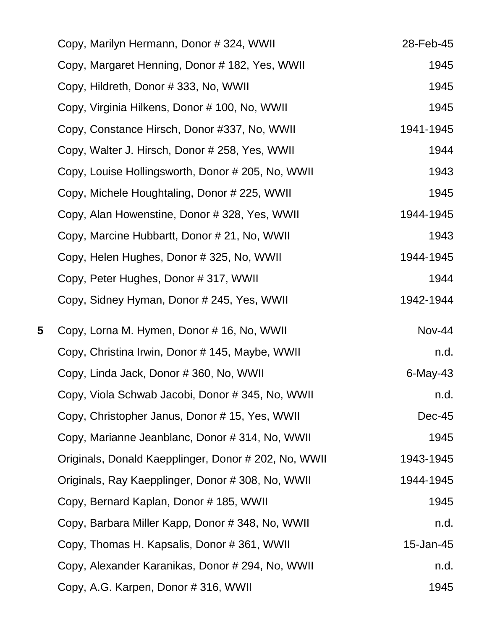|   | Copy, Marilyn Hermann, Donor # 324, WWII             | 28-Feb-45     |
|---|------------------------------------------------------|---------------|
|   | Copy, Margaret Henning, Donor # 182, Yes, WWII       | 1945          |
|   | Copy, Hildreth, Donor # 333, No, WWII                | 1945          |
|   | Copy, Virginia Hilkens, Donor # 100, No, WWII        | 1945          |
|   | Copy, Constance Hirsch, Donor #337, No, WWII         | 1941-1945     |
|   | Copy, Walter J. Hirsch, Donor # 258, Yes, WWII       | 1944          |
|   | Copy, Louise Hollingsworth, Donor # 205, No, WWII    | 1943          |
|   | Copy, Michele Houghtaling, Donor # 225, WWII         | 1945          |
|   | Copy, Alan Howenstine, Donor # 328, Yes, WWII        | 1944-1945     |
|   | Copy, Marcine Hubbartt, Donor # 21, No, WWII         | 1943          |
|   | Copy, Helen Hughes, Donor # 325, No, WWII            | 1944-1945     |
|   | Copy, Peter Hughes, Donor # 317, WWII                | 1944          |
|   | Copy, Sidney Hyman, Donor # 245, Yes, WWII           | 1942-1944     |
| 5 | Copy, Lorna M. Hymen, Donor # 16, No, WWII           | <b>Nov-44</b> |
|   | Copy, Christina Irwin, Donor # 145, Maybe, WWII      | n.d.          |
|   | Copy, Linda Jack, Donor # 360, No, WWII              | 6-May-43      |
|   | Copy, Viola Schwab Jacobi, Donor # 345, No, WWII     | n.d.          |
|   | Copy, Christopher Janus, Donor #15, Yes, WWII        | <b>Dec-45</b> |
|   | Copy, Marianne Jeanblanc, Donor # 314, No, WWII      | 1945          |
|   | Originals, Donald Kaepplinger, Donor # 202, No, WWII | 1943-1945     |
|   | Originals, Ray Kaepplinger, Donor # 308, No, WWII    | 1944-1945     |
|   | Copy, Bernard Kaplan, Donor # 185, WWII              | 1945          |
|   | Copy, Barbara Miller Kapp, Donor # 348, No, WWII     | n.d.          |
|   | Copy, Thomas H. Kapsalis, Donor #361, WWII           | 15-Jan-45     |
|   | Copy, Alexander Karanikas, Donor # 294, No, WWII     | n.d.          |
|   | Copy, A.G. Karpen, Donor # 316, WWII                 | 1945          |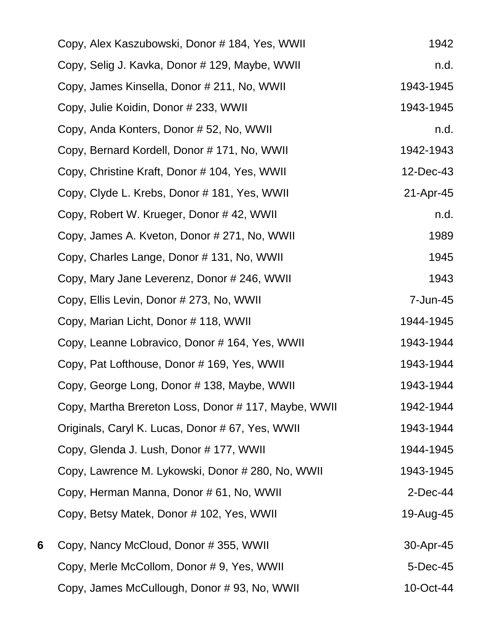|   | Copy, Alex Kaszubowski, Donor # 184, Yes, WWII      | 1942        |
|---|-----------------------------------------------------|-------------|
|   | Copy, Selig J. Kavka, Donor # 129, Maybe, WWII      | n.d.        |
|   | Copy, James Kinsella, Donor # 211, No, WWII         | 1943-1945   |
|   | Copy, Julie Koidin, Donor # 233, WWII               | 1943-1945   |
|   | Copy, Anda Konters, Donor # 52, No, WWII            | n.d.        |
|   | Copy, Bernard Kordell, Donor #171, No, WWII         | 1942-1943   |
|   | Copy, Christine Kraft, Donor # 104, Yes, WWII       | 12-Dec-43   |
|   | Copy, Clyde L. Krebs, Donor # 181, Yes, WWII        | 21-Apr-45   |
|   | Copy, Robert W. Krueger, Donor #42, WWII            | n.d.        |
|   | Copy, James A. Kveton, Donor # 271, No, WWII        | 1989        |
|   | Copy, Charles Lange, Donor # 131, No, WWII          | 1945        |
|   | Copy, Mary Jane Leverenz, Donor # 246, WWII         | 1943        |
|   | Copy, Ellis Levin, Donor # 273, No, WWII            | 7-Jun-45    |
|   | Copy, Marian Licht, Donor #118, WWII                | 1944-1945   |
|   | Copy, Leanne Lobravico, Donor # 164, Yes, WWII      | 1943-1944   |
|   | Copy, Pat Lofthouse, Donor # 169, Yes, WWII         | 1943-1944   |
|   | Copy, George Long, Donor # 138, Maybe, WWII         | 1943-1944   |
|   | Copy, Martha Brereton Loss, Donor #117, Maybe, WWII | 1942-1944   |
|   | Originals, Caryl K. Lucas, Donor # 67, Yes, WWII    | 1943-1944   |
|   | Copy, Glenda J. Lush, Donor # 177, WWII             | 1944-1945   |
|   | Copy, Lawrence M. Lykowski, Donor # 280, No, WWII   | 1943-1945   |
|   | Copy, Herman Manna, Donor # 61, No, WWII            | $2$ -Dec-44 |
|   | Copy, Betsy Matek, Donor # 102, Yes, WWII           | 19-Aug-45   |
| 6 | Copy, Nancy McCloud, Donor #355, WWII               | 30-Apr-45   |
|   | Copy, Merle McCollom, Donor #9, Yes, WWII           | 5-Dec-45    |
|   | Copy, James McCullough, Donor #93, No, WWII         | 10-Oct-44   |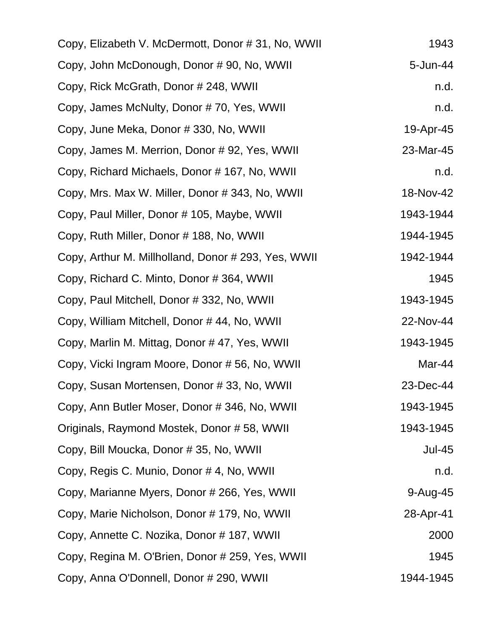| Copy, Elizabeth V. McDermott, Donor # 31, No, WWII  | 1943          |
|-----------------------------------------------------|---------------|
| Copy, John McDonough, Donor # 90, No, WWII          | 5-Jun-44      |
| Copy, Rick McGrath, Donor # 248, WWII               | n.d.          |
| Copy, James McNulty, Donor #70, Yes, WWII           | n.d.          |
| Copy, June Meka, Donor # 330, No, WWII              | 19-Apr-45     |
| Copy, James M. Merrion, Donor # 92, Yes, WWII       | 23-Mar-45     |
| Copy, Richard Michaels, Donor #167, No, WWII        | n.d.          |
| Copy, Mrs. Max W. Miller, Donor # 343, No, WWII     | 18-Nov-42     |
| Copy, Paul Miller, Donor # 105, Maybe, WWII         | 1943-1944     |
| Copy, Ruth Miller, Donor # 188, No, WWII            | 1944-1945     |
| Copy, Arthur M. Millholland, Donor # 293, Yes, WWII | 1942-1944     |
| Copy, Richard C. Minto, Donor # 364, WWII           | 1945          |
| Copy, Paul Mitchell, Donor # 332, No, WWII          | 1943-1945     |
| Copy, William Mitchell, Donor #44, No, WWII         | 22-Nov-44     |
| Copy, Marlin M. Mittag, Donor #47, Yes, WWII        | 1943-1945     |
| Copy, Vicki Ingram Moore, Donor #56, No, WWII       | Mar-44        |
| Copy, Susan Mortensen, Donor #33, No, WWII          | 23-Dec-44     |
| Copy, Ann Butler Moser, Donor # 346, No, WWII       | 1943-1945     |
| Originals, Raymond Mostek, Donor #58, WWII          | 1943-1945     |
| Copy, Bill Moucka, Donor # 35, No, WWII             | <b>Jul-45</b> |
| Copy, Regis C. Munio, Donor #4, No, WWII            | n.d.          |
| Copy, Marianne Myers, Donor # 266, Yes, WWII        | $9-Au$ g-45   |
| Copy, Marie Nicholson, Donor #179, No, WWII         | 28-Apr-41     |
| Copy, Annette C. Nozika, Donor # 187, WWII          | 2000          |
| Copy, Regina M. O'Brien, Donor # 259, Yes, WWII     | 1945          |
| Copy, Anna O'Donnell, Donor # 290, WWII             | 1944-1945     |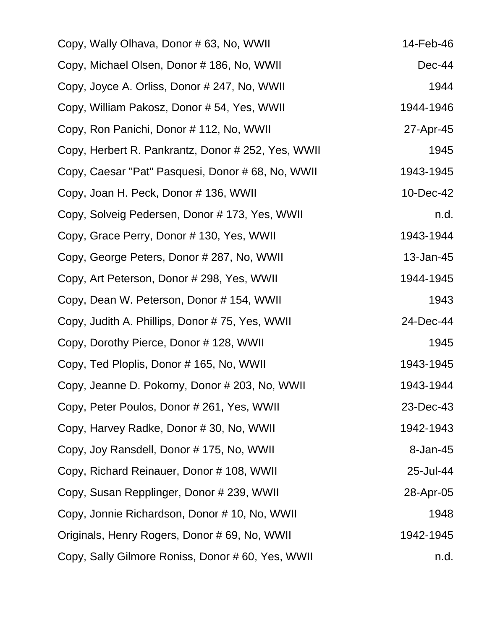| Copy, Wally Olhava, Donor # 63, No, WWII           | 14-Feb-46 |
|----------------------------------------------------|-----------|
| Copy, Michael Olsen, Donor # 186, No, WWII         | $Dec-44$  |
| Copy, Joyce A. Orliss, Donor # 247, No, WWII       | 1944      |
| Copy, William Pakosz, Donor # 54, Yes, WWII        | 1944-1946 |
| Copy, Ron Panichi, Donor # 112, No, WWII           | 27-Apr-45 |
| Copy, Herbert R. Pankrantz, Donor # 252, Yes, WWII | 1945      |
| Copy, Caesar "Pat" Pasquesi, Donor # 68, No, WWII  | 1943-1945 |
| Copy, Joan H. Peck, Donor # 136, WWII              | 10-Dec-42 |
| Copy, Solveig Pedersen, Donor # 173, Yes, WWII     | n.d.      |
| Copy, Grace Perry, Donor #130, Yes, WWII           | 1943-1944 |
| Copy, George Peters, Donor # 287, No, WWII         | 13-Jan-45 |
| Copy, Art Peterson, Donor # 298, Yes, WWII         | 1944-1945 |
| Copy, Dean W. Peterson, Donor #154, WWII           | 1943      |
| Copy, Judith A. Phillips, Donor #75, Yes, WWII     | 24-Dec-44 |
| Copy, Dorothy Pierce, Donor # 128, WWII            | 1945      |
| Copy, Ted Ploplis, Donor # 165, No, WWII           | 1943-1945 |
| Copy, Jeanne D. Pokorny, Donor # 203, No, WWII     | 1943-1944 |
| Copy, Peter Poulos, Donor # 261, Yes, WWII         | 23-Dec-43 |
| Copy, Harvey Radke, Donor #30, No, WWII            | 1942-1943 |
| Copy, Joy Ransdell, Donor # 175, No, WWII          | 8-Jan-45  |
| Copy, Richard Reinauer, Donor # 108, WWII          | 25-Jul-44 |
| Copy, Susan Repplinger, Donor # 239, WWII          | 28-Apr-05 |
| Copy, Jonnie Richardson, Donor # 10, No, WWII      | 1948      |
| Originals, Henry Rogers, Donor # 69, No, WWII      | 1942-1945 |
| Copy, Sally Gilmore Roniss, Donor # 60, Yes, WWII  | n.d.      |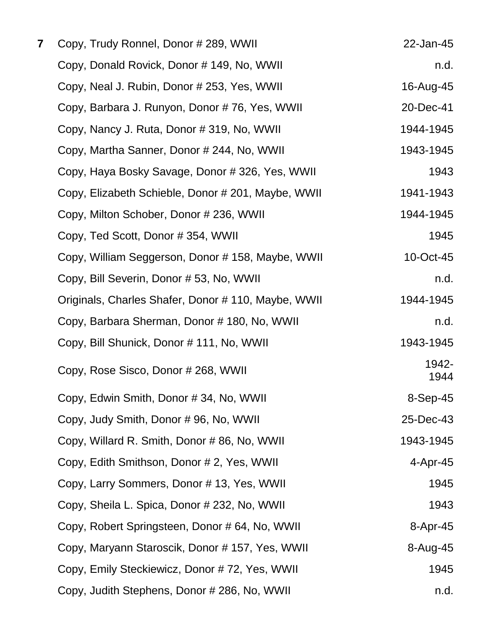| 7 | Copy, Trudy Ronnel, Donor # 289, WWII               | 22-Jan-45     |
|---|-----------------------------------------------------|---------------|
|   | Copy, Donald Rovick, Donor # 149, No, WWII          | n.d.          |
|   | Copy, Neal J. Rubin, Donor # 253, Yes, WWII         | 16-Aug-45     |
|   | Copy, Barbara J. Runyon, Donor #76, Yes, WWII       | 20-Dec-41     |
|   | Copy, Nancy J. Ruta, Donor # 319, No, WWII          | 1944-1945     |
|   | Copy, Martha Sanner, Donor # 244, No, WWII          | 1943-1945     |
|   | Copy, Haya Bosky Savage, Donor #326, Yes, WWII      | 1943          |
|   | Copy, Elizabeth Schieble, Donor # 201, Maybe, WWII  | 1941-1943     |
|   | Copy, Milton Schober, Donor # 236, WWII             | 1944-1945     |
|   | Copy, Ted Scott, Donor # 354, WWII                  | 1945          |
|   | Copy, William Seggerson, Donor # 158, Maybe, WWII   | 10-Oct-45     |
|   | Copy, Bill Severin, Donor # 53, No, WWII            | n.d.          |
|   | Originals, Charles Shafer, Donor # 110, Maybe, WWII | 1944-1945     |
|   | Copy, Barbara Sherman, Donor #180, No, WWII         | n.d.          |
|   | Copy, Bill Shunick, Donor # 111, No, WWII           | 1943-1945     |
|   | Copy, Rose Sisco, Donor # 268, WWII                 | 1942-<br>1944 |
|   | Copy, Edwin Smith, Donor # 34, No, WWII             | 8-Sep-45      |
|   | Copy, Judy Smith, Donor # 96, No, WWII              | 25-Dec-43     |
|   | Copy, Willard R. Smith, Donor # 86, No, WWII        | 1943-1945     |
|   | Copy, Edith Smithson, Donor # 2, Yes, WWII          | 4-Apr-45      |
|   | Copy, Larry Sommers, Donor #13, Yes, WWII           | 1945          |
|   | Copy, Sheila L. Spica, Donor # 232, No, WWII        | 1943          |
|   | Copy, Robert Springsteen, Donor # 64, No, WWII      | 8-Apr-45      |
|   | Copy, Maryann Staroscik, Donor # 157, Yes, WWII     | 8-Aug-45      |
|   | Copy, Emily Steckiewicz, Donor #72, Yes, WWII       | 1945          |
|   | Copy, Judith Stephens, Donor # 286, No, WWII        | n.d.          |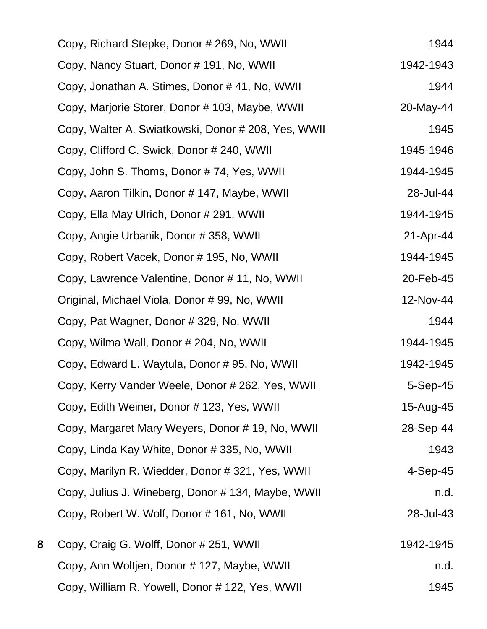|   | Copy, Richard Stepke, Donor # 269, No, WWII         | 1944       |
|---|-----------------------------------------------------|------------|
|   | Copy, Nancy Stuart, Donor # 191, No, WWII           | 1942-1943  |
|   | Copy, Jonathan A. Stimes, Donor #41, No, WWII       | 1944       |
|   | Copy, Marjorie Storer, Donor # 103, Maybe, WWII     | 20-May-44  |
|   | Copy, Walter A. Swiatkowski, Donor # 208, Yes, WWII | 1945       |
|   | Copy, Clifford C. Swick, Donor # 240, WWII          | 1945-1946  |
|   | Copy, John S. Thoms, Donor #74, Yes, WWII           | 1944-1945  |
|   | Copy, Aaron Tilkin, Donor # 147, Maybe, WWII        | 28-Jul-44  |
|   | Copy, Ella May Ulrich, Donor # 291, WWII            | 1944-1945  |
|   | Copy, Angie Urbanik, Donor # 358, WWII              | 21-Apr-44  |
|   | Copy, Robert Vacek, Donor # 195, No, WWII           | 1944-1945  |
|   | Copy, Lawrence Valentine, Donor #11, No, WWII       | 20-Feb-45  |
|   | Original, Michael Viola, Donor # 99, No, WWII       | 12-Nov-44  |
|   | Copy, Pat Wagner, Donor # 329, No, WWII             | 1944       |
|   | Copy, Wilma Wall, Donor # 204, No, WWII             | 1944-1945  |
|   | Copy, Edward L. Waytula, Donor # 95, No, WWII       | 1942-1945  |
|   | Copy, Kerry Vander Weele, Donor # 262, Yes, WWII    | 5-Sep-45   |
|   | Copy, Edith Weiner, Donor # 123, Yes, WWII          | 15-Aug-45  |
|   | Copy, Margaret Mary Weyers, Donor #19, No, WWII     | 28-Sep-44  |
|   | Copy, Linda Kay White, Donor # 335, No, WWII        | 1943       |
|   | Copy, Marilyn R. Wiedder, Donor # 321, Yes, WWII    | $4-Sep-45$ |
|   | Copy, Julius J. Wineberg, Donor # 134, Maybe, WWII  | n.d.       |
|   | Copy, Robert W. Wolf, Donor # 161, No, WWII         | 28-Jul-43  |
| 8 | Copy, Craig G. Wolff, Donor # 251, WWII             | 1942-1945  |
|   | Copy, Ann Woltjen, Donor # 127, Maybe, WWII         | n.d.       |
|   | Copy, William R. Yowell, Donor # 122, Yes, WWII     | 1945       |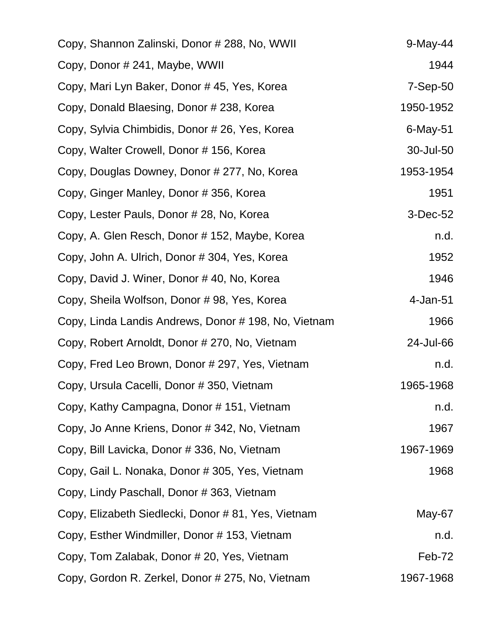| Copy, Shannon Zalinski, Donor # 288, No, WWII        | $9$ -May-44 |
|------------------------------------------------------|-------------|
| Copy, Donor # 241, Maybe, WWII                       | 1944        |
| Copy, Mari Lyn Baker, Donor #45, Yes, Korea          | 7-Sep-50    |
| Copy, Donald Blaesing, Donor # 238, Korea            | 1950-1952   |
| Copy, Sylvia Chimbidis, Donor # 26, Yes, Korea       | $6$ -May-51 |
| Copy, Walter Crowell, Donor # 156, Korea             | 30-Jul-50   |
| Copy, Douglas Downey, Donor # 277, No, Korea         | 1953-1954   |
| Copy, Ginger Manley, Donor # 356, Korea              | 1951        |
| Copy, Lester Pauls, Donor # 28, No, Korea            | 3-Dec-52    |
| Copy, A. Glen Resch, Donor # 152, Maybe, Korea       | n.d.        |
| Copy, John A. Ulrich, Donor # 304, Yes, Korea        | 1952        |
| Copy, David J. Winer, Donor #40, No, Korea           | 1946        |
| Copy, Sheila Wolfson, Donor #98, Yes, Korea          | 4-Jan-51    |
| Copy, Linda Landis Andrews, Donor # 198, No, Vietnam | 1966        |
| Copy, Robert Arnoldt, Donor # 270, No, Vietnam       | 24-Jul-66   |
| Copy, Fred Leo Brown, Donor # 297, Yes, Vietnam      | n.d.        |
| Copy, Ursula Cacelli, Donor # 350, Vietnam           | 1965-1968   |
| Copy, Kathy Campagna, Donor #151, Vietnam            | n.d.        |
| Copy, Jo Anne Kriens, Donor # 342, No, Vietnam       | 1967        |
| Copy, Bill Lavicka, Donor # 336, No, Vietnam         | 1967-1969   |
| Copy, Gail L. Nonaka, Donor # 305, Yes, Vietnam      | 1968        |
| Copy, Lindy Paschall, Donor # 363, Vietnam           |             |
| Copy, Elizabeth Siedlecki, Donor #81, Yes, Vietnam   | May-67      |
| Copy, Esther Windmiller, Donor #153, Vietnam         | n.d.        |
| Copy, Tom Zalabak, Donor # 20, Yes, Vietnam          | Feb-72      |
| Copy, Gordon R. Zerkel, Donor # 275, No, Vietnam     | 1967-1968   |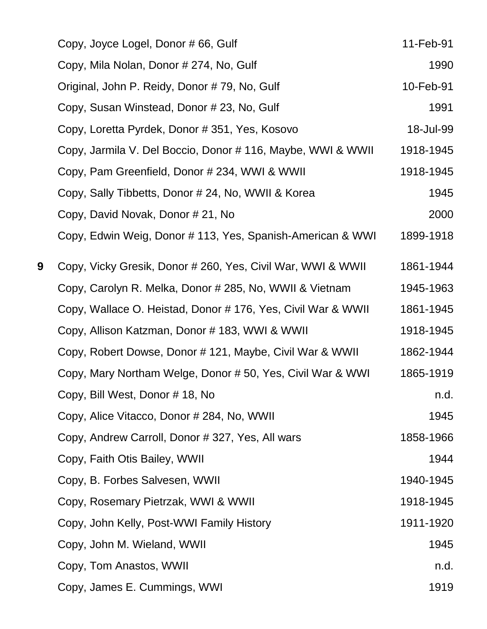|   | Copy, Joyce Logel, Donor # 66, Gulf                          | 11-Feb-91 |
|---|--------------------------------------------------------------|-----------|
|   | Copy, Mila Nolan, Donor # 274, No, Gulf                      | 1990      |
|   | Original, John P. Reidy, Donor # 79, No, Gulf                | 10-Feb-91 |
|   | Copy, Susan Winstead, Donor # 23, No, Gulf                   | 1991      |
|   | Copy, Loretta Pyrdek, Donor # 351, Yes, Kosovo               | 18-Jul-99 |
|   | Copy, Jarmila V. Del Boccio, Donor # 116, Maybe, WWI & WWII  | 1918-1945 |
|   | Copy, Pam Greenfield, Donor # 234, WWI & WWII                | 1918-1945 |
|   | Copy, Sally Tibbetts, Donor # 24, No, WWII & Korea           | 1945      |
|   | Copy, David Novak, Donor # 21, No                            | 2000      |
|   | Copy, Edwin Weig, Donor # 113, Yes, Spanish-American & WWI   | 1899-1918 |
| 9 | Copy, Vicky Gresik, Donor # 260, Yes, Civil War, WWI & WWII  | 1861-1944 |
|   | Copy, Carolyn R. Melka, Donor # 285, No, WWII & Vietnam      | 1945-1963 |
|   | Copy, Wallace O. Heistad, Donor # 176, Yes, Civil War & WWII | 1861-1945 |
|   | Copy, Allison Katzman, Donor # 183, WWI & WWII               | 1918-1945 |
|   | Copy, Robert Dowse, Donor # 121, Maybe, Civil War & WWII     | 1862-1944 |
|   | Copy, Mary Northam Welge, Donor # 50, Yes, Civil War & WWI   | 1865-1919 |
|   | Copy, Bill West, Donor #18, No                               | n.d.      |
|   | Copy, Alice Vitacco, Donor # 284, No, WWII                   | 1945      |
|   | Copy, Andrew Carroll, Donor # 327, Yes, All wars             | 1858-1966 |
|   | Copy, Faith Otis Bailey, WWII                                | 1944      |
|   | Copy, B. Forbes Salvesen, WWII                               | 1940-1945 |
|   | Copy, Rosemary Pietrzak, WWI & WWII                          | 1918-1945 |
|   | Copy, John Kelly, Post-WWI Family History                    | 1911-1920 |
|   | Copy, John M. Wieland, WWII                                  | 1945      |
|   | Copy, Tom Anastos, WWII                                      | n.d.      |
|   | Copy, James E. Cummings, WWI                                 | 1919      |